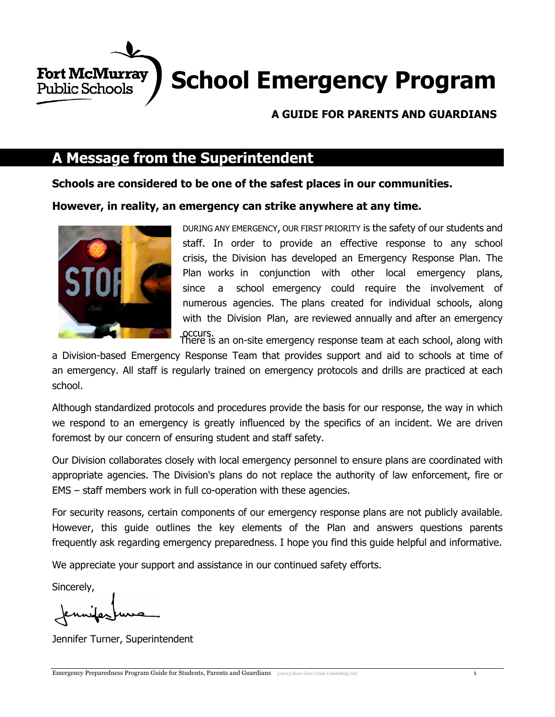

## **A GUIDE FOR PARENTS AND GUARDIANS**

## **A Message from the Superintendent**

**Schools are considered to be one of the safest places in our communities.**

**However, in reality, an emergency can strike anywhere at any time.**



DURING ANY EMERGENCY, OUR FIRST PRIORITY is the safety of our students and staff. In order to provide an effective response to any school crisis, the Division has developed an Emergency Response Plan. The Plan works in conjunction with other local emergency plans, since a school emergency could require the involvement of numerous agencies. The plans created for individual schools, along with the Division Plan, are reviewed annually and after an emergency

occurs. There is an on-site emergency response team at each school, along with

a Division-based Emergency Response Team that provides support and aid to schools at time of an emergency. All staff is regularly trained on emergency protocols and drills are practiced at each school.

Although standardized protocols and procedures provide the basis for our response, the way in which we respond to an emergency is greatly influenced by the specifics of an incident. We are driven foremost by our concern of ensuring student and staff safety.

Our Division collaborates closely with local emergency personnel to ensure plans are coordinated with appropriate agencies. The Division's plans do not replace the authority of law enforcement, fire or EMS – staff members work in full co-operation with these agencies.

For security reasons, certain components of our emergency response plans are not publicly available. However, this guide outlines the key elements of the Plan and answers questions parents frequently ask regarding emergency preparedness. I hope you find this guide helpful and informative.

We appreciate your support and assistance in our continued safety efforts.

Sincerely,

Jennifer Turner, Superintendent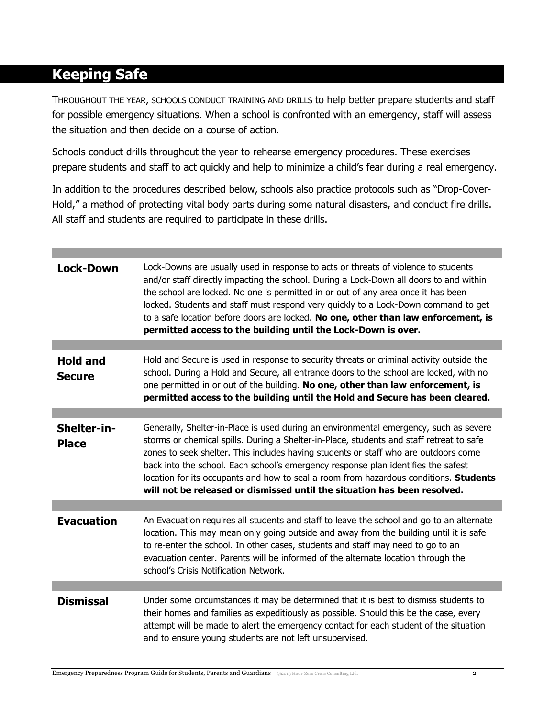# **Keeping Safe**

THROUGHOUT THE YEAR, SCHOOLS CONDUCT TRAINING AND DRILLS to help better prepare students and staff for possible emergency situations. When a school is confronted with an emergency, staff will assess the situation and then decide on a course of action.

Schools conduct drills throughout the year to rehearse emergency procedures. These exercises prepare students and staff to act quickly and help to minimize a child's fear during a real emergency.

In addition to the procedures described below, schools also practice protocols such as "Drop-Cover-Hold," a method of protecting vital body parts during some natural disasters, and conduct fire drills. All staff and students are required to participate in these drills.

| <b>Lock-Down</b>                 | Lock-Downs are usually used in response to acts or threats of violence to students<br>and/or staff directly impacting the school. During a Lock-Down all doors to and within<br>the school are locked. No one is permitted in or out of any area once it has been<br>locked. Students and staff must respond very quickly to a Lock-Down command to get<br>to a safe location before doors are locked. No one, other than law enforcement, is<br>permitted access to the building until the Lock-Down is over.                     |
|----------------------------------|------------------------------------------------------------------------------------------------------------------------------------------------------------------------------------------------------------------------------------------------------------------------------------------------------------------------------------------------------------------------------------------------------------------------------------------------------------------------------------------------------------------------------------|
|                                  |                                                                                                                                                                                                                                                                                                                                                                                                                                                                                                                                    |
| <b>Hold and</b><br><b>Secure</b> | Hold and Secure is used in response to security threats or criminal activity outside the<br>school. During a Hold and Secure, all entrance doors to the school are locked, with no<br>one permitted in or out of the building. No one, other than law enforcement, is<br>permitted access to the building until the Hold and Secure has been cleared.                                                                                                                                                                              |
|                                  |                                                                                                                                                                                                                                                                                                                                                                                                                                                                                                                                    |
| Shelter-in-<br><b>Place</b>      | Generally, Shelter-in-Place is used during an environmental emergency, such as severe<br>storms or chemical spills. During a Shelter-in-Place, students and staff retreat to safe<br>zones to seek shelter. This includes having students or staff who are outdoors come<br>back into the school. Each school's emergency response plan identifies the safest<br>location for its occupants and how to seal a room from hazardous conditions. Students<br>will not be released or dismissed until the situation has been resolved. |
|                                  |                                                                                                                                                                                                                                                                                                                                                                                                                                                                                                                                    |
| <b>Evacuation</b>                | An Evacuation requires all students and staff to leave the school and go to an alternate<br>location. This may mean only going outside and away from the building until it is safe<br>to re-enter the school. In other cases, students and staff may need to go to an<br>evacuation center. Parents will be informed of the alternate location through the<br>school's Crisis Notification Network.                                                                                                                                |
|                                  |                                                                                                                                                                                                                                                                                                                                                                                                                                                                                                                                    |
| <b>Dismissal</b>                 | Under some circumstances it may be determined that it is best to dismiss students to<br>their homes and families as expeditiously as possible. Should this be the case, every<br>attempt will be made to alert the emergency contact for each student of the situation<br>and to ensure young students are not left unsupervised.                                                                                                                                                                                                  |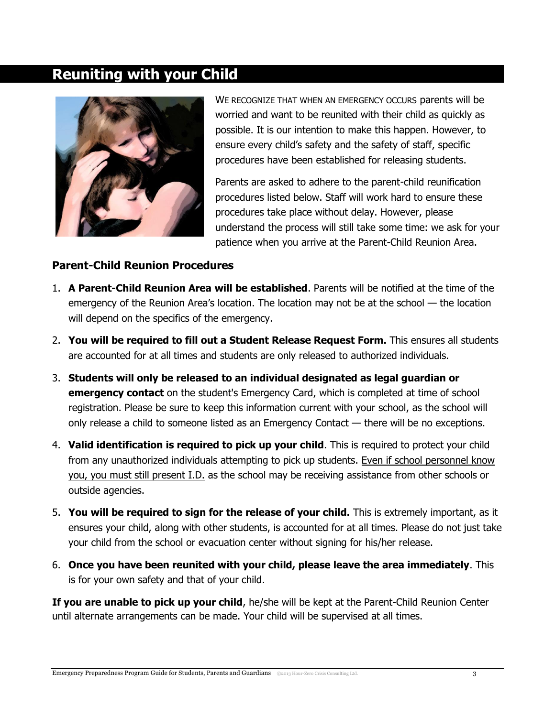## **Reuniting with your Child**



WE RECOGNIZE THAT WHEN AN EMERGENCY OCCURS parents will be worried and want to be reunited with their child as quickly as possible. It is our intention to make this happen. However, to ensure every child's safety and the safety of staff, specific procedures have been established for releasing students.

Parents are asked to adhere to the parent-child reunification procedures listed below. Staff will work hard to ensure these procedures take place without delay. However, please understand the process will still take some time: we ask for your patience when you arrive at the Parent-Child Reunion Area.

## **Parent-Child Reunion Procedures**

- 1. **A Parent-Child Reunion Area will be established**. Parents will be notified at the time of the emergency of the Reunion Area's location. The location may not be at the school — the location will depend on the specifics of the emergency.
- 2. **You will be required to fill out a Student Release Request Form.** This ensures all students are accounted for at all times and students are only released to authorized individuals.
- 3. **Students will only be released to an individual designated as legal guardian or emergency contact** on the student's Emergency Card, which is completed at time of school registration. Please be sure to keep this information current with your school, as the school will only release a child to someone listed as an Emergency Contact — there will be no exceptions.
- 4. **Valid identification is required to pick up your child**. This is required to protect your child from any unauthorized individuals attempting to pick up students. Even if school personnel know you, you must still present I.D. as the school may be receiving assistance from other schools or outside agencies.
- 5. **You will be required to sign for the release of your child.** This is extremely important, as it ensures your child, along with other students, is accounted for at all times. Please do not just take your child from the school or evacuation center without signing for his/her release.
- 6. **Once you have been reunited with your child, please leave the area immediately**. This is for your own safety and that of your child.

**If you are unable to pick up your child**, he/she will be kept at the Parent-Child Reunion Center until alternate arrangements can be made. Your child will be supervised at all times.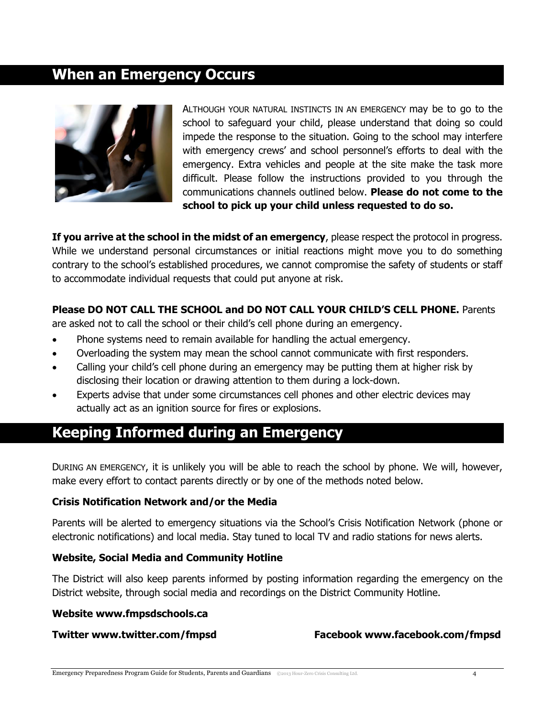## **When an Emergency Occurs**



ALTHOUGH YOUR NATURAL INSTINCTS IN AN EMERGENCY may be to go to the school to safeguard your child, please understand that doing so could impede the response to the situation. Going to the school may interfere with emergency crews' and school personnel's efforts to deal with the emergency. Extra vehicles and people at the site make the task more difficult. Please follow the instructions provided to you through the communications channels outlined below. **Please do not come to the school to pick up your child unless requested to do so.**

**If you arrive at the school in the midst of an emergency**, please respect the protocol in progress. While we understand personal circumstances or initial reactions might move you to do something contrary to the school's established procedures, we cannot compromise the safety of students or staff to accommodate individual requests that could put anyone at risk.

### **Please DO NOT CALL THE SCHOOL and DO NOT CALL YOUR CHILD'S CELL PHONE.** Parents

are asked not to call the school or their child's cell phone during an emergency.

- Phone systems need to remain available for handling the actual emergency.
- Overloading the system may mean the school cannot communicate with first responders.
- Calling your child's cell phone during an emergency may be putting them at higher risk by disclosing their location or drawing attention to them during a lock-down.
- Experts advise that under some circumstances cell phones and other electric devices may actually act as an ignition source for fires or explosions.

## **Keeping Informed during an Emergency**

DURING AN EMERGENCY, it is unlikely you will be able to reach the school by phone. We will, however, make every effort to contact parents directly or by one of the methods noted below.

#### **Crisis Notification Network and/or the Media**

Parents will be alerted to emergency situations via the School's Crisis Notification Network (phone or electronic notifications) and local media. Stay tuned to local TV and radio stations for news alerts.

## **Website, Social Media and Community Hotline**

The District will also keep parents informed by posting information regarding the emergency on the District website, through social media and recordings on the District Community Hotline.

#### **Website www.fmpsdschools.ca**

#### **Twitter www.twitter.com/fmpsd Facebook www.facebook.com/fmpsd**